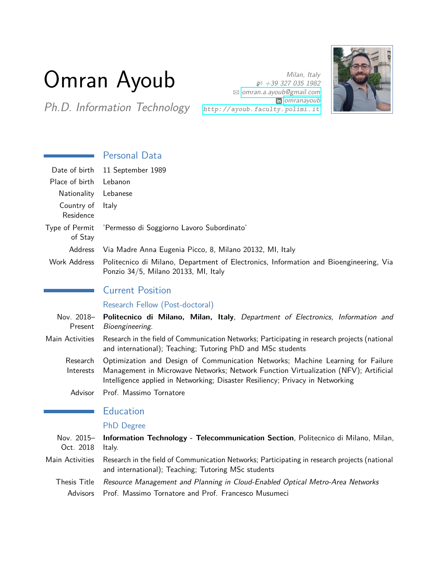# Omran Ayoub

Ph.D. Information Technology http://ayoub.faculty.polimi.it

Milan, Italy  $\cancel{)}$  +39 327 035 1982 B [omran.a.ayoub@gmail.com](mailto:omran.a.ayoub@gmail.com) **in** [omranayoub](http://www.linkedin.com/in/omranayoub)



# Personal Data

| Date of birth             | 11 September 1989                                                                                                                                                                                                                                        |
|---------------------------|----------------------------------------------------------------------------------------------------------------------------------------------------------------------------------------------------------------------------------------------------------|
| Place of birth            | Lebanon                                                                                                                                                                                                                                                  |
| Nationality               | Lebanese                                                                                                                                                                                                                                                 |
| Country of<br>Residence   | Italy                                                                                                                                                                                                                                                    |
| Type of Permit<br>of Stay | 'Permesso di Soggiorno Lavoro Subordinato'                                                                                                                                                                                                               |
| Address                   | Via Madre Anna Eugenia Picco, 8, Milano 20132, MI, Italy                                                                                                                                                                                                 |
| <b>Work Address</b>       | Politecnico di Milano, Department of Electronics, Information and Bioengineering, Via<br>Ponzio 34/5, Milano 20133, MI, Italy                                                                                                                            |
|                           | <b>Current Position</b>                                                                                                                                                                                                                                  |
|                           | Research Fellow (Post-doctoral)                                                                                                                                                                                                                          |
| Nov. 2018-<br>Present     | Politecnico di Milano, Milan, Italy, Department of Electronics, Information and<br>Bioengineering.                                                                                                                                                       |
| Main Activities           | Research in the field of Communication Networks; Participating in research projects (national<br>and international); Teaching; Tutoring PhD and MSc students                                                                                             |
| Research<br>Interests     | Optimization and Design of Communication Networks; Machine Learning for Failure<br>Management in Microwave Networks; Network Function Virtualization (NFV); Artificial<br>Intelligence applied in Networking; Disaster Resiliency; Privacy in Networking |
| Advisor                   | Prof. Massimo Tornatore                                                                                                                                                                                                                                  |
|                           | <b>Education</b>                                                                                                                                                                                                                                         |

## PhD Degree

| Oct. 2018 Italy. | Nov. 2015- Information Technology - Telecommunication Section, Politecnico di Milano, Milan,                                                         |
|------------------|------------------------------------------------------------------------------------------------------------------------------------------------------|
| Main Activities  | Research in the field of Communication Networks; Participating in research projects (national<br>and international); Teaching; Tutoring MSc students |
|                  | Thesis Title Resource Management and Planning in Cloud-Enabled Optical Metro-Area Networks                                                           |
|                  | Advisors Prof. Massimo Tornatore and Prof. Francesco Musumeci                                                                                        |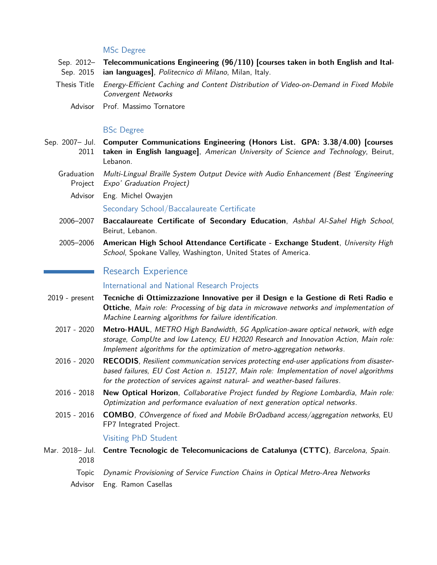#### MSc Degree

- Sep. 2012– Sep. 2015 **Telecommunications Engineering (96/110) [courses taken in both English and Italian languages]**, Politecnico di Milano, Milan, Italy.
- Thesis Title Energy-Efficient Caching and Content Distribution of Video-on-Demand in Fixed Mobile Convergent Networks
	- Advisor Prof. Massimo Tornatore

### BSc Degree

- Sep. 2007– Jul. **Computer Communications Engineering (Honors List. GPA: 3.38/4.00) [courses** 2011 **taken in English language]**, American University of Science and Technology, Beirut, Lebanon.
	- Graduation Multi-Lingual Braille System Output Device with Audio Enhancement (Best 'Engineering Project Expo' Graduation Project)
		- Advisor Eng. Michel Owayjen Secondary School/Baccalaureate Certificate
	- 2006–2007 **Baccalaureate Certificate of Secondary Education**, Ashbal Al-Sahel High School, Beirut, Lebanon.
	- 2005–2006 **American High School Attendance Certificate Exchange Student**, University High School, Spokane Valley, Washington, United States of America.

## Research Experience

#### International and National Research Projects

- 2019 present **Tecniche di Ottimizzazione Innovative per il Design e la Gestione di Reti Radio e Ottiche**, Main role: Processing of big data in microwave networks and implementation of Machine Learning algorithms for failure identification.
	- 2017 2020 **Metro-HAUL**, METRO High Bandwidth, 5G Application-aware optical network, with edge storage, CompUte and low Latency, EU H2020 Research and Innovation Action, Main role: Implement algorithms for the optimization of metro-aggregation networks.
	- 2016 2020 **RECODIS**, Resilient communication services protecting end-user applications from disasterbased failures, EU Cost Action n. 15127, Main role: Implementation of novel algorithms for the protection of services against natural- and weather-based failures.
	- 2016 2018 **New Optical Horizon**, Collaborative Project funded by Regione Lombardia, Main role: Optimization and performance evaluation of next generation optical networks.
	- 2015 2016 **COMBO**, COnvergence of fixed and Mobile BrOadband access/aggregation networks, EU FP7 Integrated Project.

#### Visiting PhD Student

- Mar. 2018– Jul. 2018 **Centre Tecnologic de Telecomunicacions de Catalunya (CTTC)**, Barcelona, Spain.
	- Topic Dynamic Provisioning of Service Function Chains in Optical Metro-Area Networks
	- Advisor Eng. Ramon Casellas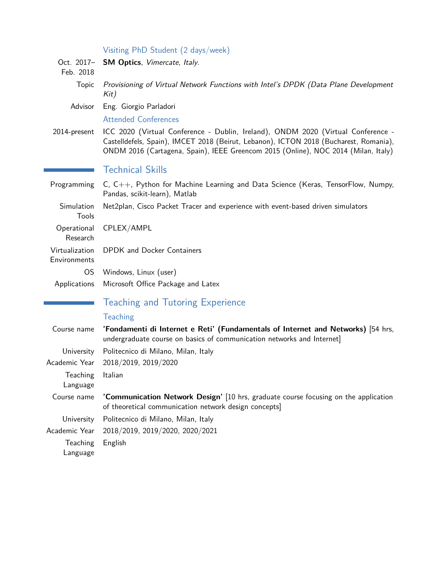|                                | Visiting PhD Student (2 days/week)                                                                                                                                                                                                                              |
|--------------------------------|-----------------------------------------------------------------------------------------------------------------------------------------------------------------------------------------------------------------------------------------------------------------|
| Oct. 2017-<br>Feb. 2018        | SM Optics, Vimercate, Italy.                                                                                                                                                                                                                                    |
| <b>Topic</b>                   | Provisioning of Virtual Network Functions with Intel's DPDK (Data Plane Development<br>Kit)                                                                                                                                                                     |
| Advisor                        | Eng. Giorgio Parladori                                                                                                                                                                                                                                          |
|                                | <b>Attended Conferences</b>                                                                                                                                                                                                                                     |
| 2014-present                   | ICC 2020 (Virtual Conference - Dublin, Ireland), ONDM 2020 (Virtual Conference -<br>Castelldefels, Spain), IMCET 2018 (Beirut, Lebanon), ICTON 2018 (Bucharest, Romania),<br>ONDM 2016 (Cartagena, Spain), IEEE Greencom 2015 (Online), NOC 2014 (Milan, Italy) |
|                                | <b>Technical Skills</b>                                                                                                                                                                                                                                         |
| Programming                    | $C, C++,$ Python for Machine Learning and Data Science (Keras, TensorFlow, Numpy,<br>Pandas, scikit-learn), Matlab                                                                                                                                              |
| Simulation<br>Tools            | Net2plan, Cisco Packet Tracer and experience with event-based driven simulators                                                                                                                                                                                 |
| Operational<br>Research        | CPLEX/AMPL                                                                                                                                                                                                                                                      |
| Virtualization<br>Environments | DPDK and Docker Containers                                                                                                                                                                                                                                      |
| <b>OS</b>                      | Windows, Linux (user)                                                                                                                                                                                                                                           |
| Applications                   | Microsoft Office Package and Latex                                                                                                                                                                                                                              |
|                                | <b>Teaching and Tutoring Experience</b>                                                                                                                                                                                                                         |
|                                | <b>Teaching</b>                                                                                                                                                                                                                                                 |
| Course name                    | 'Fondamenti di Internet e Reti' (Fundamentals of Internet and Networks) [54 hrs,<br>undergraduate course on basics of communication networks and Internet]                                                                                                      |
| University                     | Politecnico di Milano, Milan, Italy                                                                                                                                                                                                                             |
| Academic Year                  | 2018/2019, 2019/2020                                                                                                                                                                                                                                            |
| Teaching<br>Language           | Italian                                                                                                                                                                                                                                                         |
| Course name                    | 'Communication Network Design' [10 hrs, graduate course focusing on the application<br>of theoretical communication network design concepts]                                                                                                                    |
| University                     | Politecnico di Milano, Milan, Italy                                                                                                                                                                                                                             |
| Academic Year                  | 2018/2019, 2019/2020, 2020/2021                                                                                                                                                                                                                                 |
| Teaching<br>Language           | English                                                                                                                                                                                                                                                         |
|                                |                                                                                                                                                                                                                                                                 |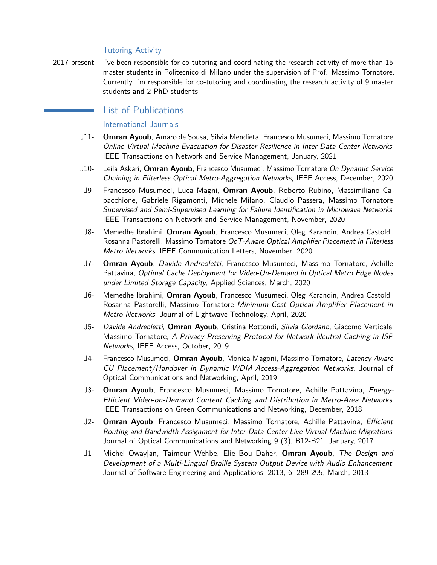#### Tutoring Activity

2017-present I've been responsible for co-tutoring and coordinating the research activity of more than 15 master students in Politecnico di Milano under the supervision of Prof. Massimo Tornatore. Currently I'm responsible for co-tutoring and coordinating the research activity of 9 master students and 2 PhD students.

## List of Publications

## International Journals

- J11- **Omran Ayoub**, Amaro de Sousa, Silvia Mendieta, Francesco Musumeci, Massimo Tornatore Online Virtual Machine Evacuation for Disaster Resilience in Inter Data Center Networks, IEEE Transactions on Network and Service Management, January, 2021
- J10- Leila Askari, **Omran Ayoub**, Francesco Musumeci, Massimo Tornatore On Dynamic Service Chaining in Filterless Optical Metro-Aggregation Networks, IEEE Access, December, 2020
- J9- Francesco Musumeci, Luca Magni, **Omran Ayoub**, Roberto Rubino, Massimiliano Capacchione, Gabriele Rigamonti, Michele Milano, Claudio Passera, Massimo Tornatore Supervised and Semi-Supervised Learning for Failure Identification in Microwave Networks, IEEE Transactions on Network and Service Management, November, 2020
- J8- Memedhe Ibrahimi, **Omran Ayoub**, Francesco Musumeci, Oleg Karandin, Andrea Castoldi, Rosanna Pastorelli, Massimo Tornatore QoT-Aware Optical Amplifier Placement in Filterless Metro Networks, IEEE Communication Letters, November, 2020
- J7- **Omran Ayoub**, Davide Andreoletti, Francesco Musumeci, Massimo Tornatore, Achille Pattavina, Optimal Cache Deployment for Video-On-Demand in Optical Metro Edge Nodes under Limited Storage Capacity, Applied Sciences, March, 2020
- J6- Memedhe Ibrahimi, **Omran Ayoub**, Francesco Musumeci, Oleg Karandin, Andrea Castoldi, Rosanna Pastorelli, Massimo Tornatore Minimum-Cost Optical Amplifier Placement in Metro Networks, Journal of Lightwave Technology, April, 2020
- J5- Davide Andreoletti, **Omran Ayoub**, Cristina Rottondi, Silvia Giordano, Giacomo Verticale, Massimo Tornatore, A Privacy-Preserving Protocol for Network-Neutral Caching in ISP Networks, IEEE Access, October, 2019
- J4- Francesco Musumeci, **Omran Ayoub**, Monica Magoni, Massimo Tornatore, Latency-Aware CU Placement/Handover in Dynamic WDM Access-Aggregation Networks, Journal of Optical Communications and Networking, April, 2019
- J3- **Omran Ayoub**, Francesco Musumeci, Massimo Tornatore, Achille Pattavina, Energy-Efficient Video-on-Demand Content Caching and Distribution in Metro-Area Networks, IEEE Transactions on Green Communications and Networking, December, 2018
- J2- **Omran Ayoub**, Francesco Musumeci, Massimo Tornatore, Achille Pattavina, Efficient Routing and Bandwidth Assignment for Inter-Data-Center Live Virtual-Machine Migrations, Journal of Optical Communications and Networking 9 (3), B12-B21, January, 2017
- J1- Michel Owayjan, Taimour Wehbe, Elie Bou Daher, **Omran Ayoub**, The Design and Development of a Multi-Lingual Braille System Output Device with Audio Enhancement, Journal of Software Engineering and Applications, 2013, 6, 289-295, March, 2013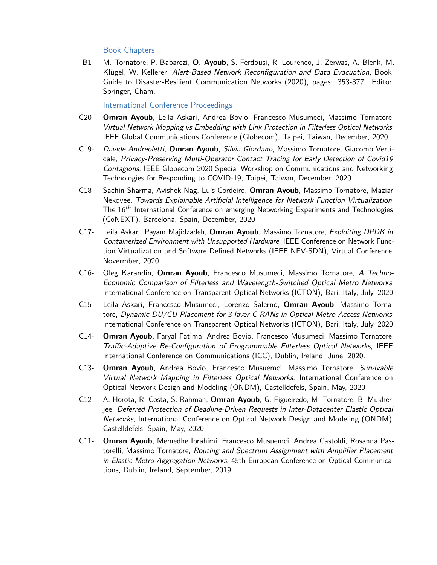## Book Chapters

B1- M. Tornatore, P. Babarczi, **O. Ayoub**, S. Ferdousi, R. Lourenco, J. Zerwas, A. Blenk, M. Klügel, W. Kellerer, Alert-Based Network Reconfiguration and Data Evacuation, Book: Guide to Disaster-Resilient Communication Networks (2020), pages: 353-377. Editor: Springer, Cham.

## International Conference Proceedings

- C20- **Omran Ayoub**, Leila Askari, Andrea Bovio, Francesco Musumeci, Massimo Tornatore, Virtual Network Mapping vs Embedding with Link Protection in Filterless Optical Networks, IEEE Global Communications Conference (Globecom), Taipei, Taiwan, December, 2020
- C19- Davide Andreoletti, **Omran Ayoub**, Silvia Giordano, Massimo Tornatore, Giacomo Verticale, Privacy-Preserving Multi-Operator Contact Tracing for Early Detection of Covid19 Contagions, IEEE Globecom 2020 Special Workshop on Communications and Networking Technologies for Responding to COVID-19, Taipei, Taiwan, December, 2020
- C18- Sachin Sharma, Avishek Nag, Luís Cordeiro, **Omran Ayoub**, Massimo Tornatore, Maziar Nekovee, Towards Explainable Artificial Intelligence for Network Function Virtualization, The 16*th* International Conference on emerging Networking Experiments and Technologies (CoNEXT), Barcelona, Spain, December, 2020
- C17- Leila Askari, Payam Majidzadeh, **Omran Ayoub**, Massimo Tornatore, Exploiting DPDK in Containerized Environment with Unsupported Hardware, IEEE Conference on Network Function Virtualization and Software Defined Networks (IEEE NFV-SDN), Virtual Conference, Novermber, 2020
- C16- Oleg Karandin, **Omran Ayoub**, Francesco Musumeci, Massimo Tornatore, A Techno-Economic Comparison of Filterless and Wavelength-Switched Optical Metro Networks, International Conference on Transparent Optical Networks (ICTON), Bari, Italy, July, 2020
- C15- Leila Askari, Francesco Musumeci, Lorenzo Salerno, **Omran Ayoub**, Massimo Tornatore, Dynamic DU/CU Placement for 3-layer C-RANs in Optical Metro-Access Networks, International Conference on Transparent Optical Networks (ICTON), Bari, Italy, July, 2020
- C14- **Omran Ayoub**, Faryal Fatima, Andrea Bovio, Francesco Musumeci, Massimo Tornatore, Traffic-Adaptive Re-Configuration of Programmable Filterless Optical Networks, IEEE International Conference on Communications (ICC), Dublin, Ireland, June, 2020.
- C13- **Omran Ayoub**, Andrea Bovio, Francesco Musuemci, Massimo Tornatore, Survivable Virtual Network Mapping in Filterless Optical Networks, International Conference on Optical Network Design and Modeling (ONDM), Castelldefels, Spain, May, 2020
- C12- A. Horota, R. Costa, S. Rahman, **Omran Ayoub**, G. Figueiredo, M. Tornatore, B. Mukherjee, Deferred Protection of Deadline-Driven Requests in Inter-Datacenter Elastic Optical Networks, International Conference on Optical Network Design and Modeling (ONDM), Castelldefels, Spain, May, 2020
- C11- **Omran Ayoub**, Memedhe Ibrahimi, Francesco Musuemci, Andrea Castoldi, Rosanna Pastorelli, Massimo Tornatore, Routing and Spectrum Assignment with Amplifier Placement in Elastic Metro-Aggregation Networks, 45th European Conference on Optical Communications, Dublin, Ireland, September, 2019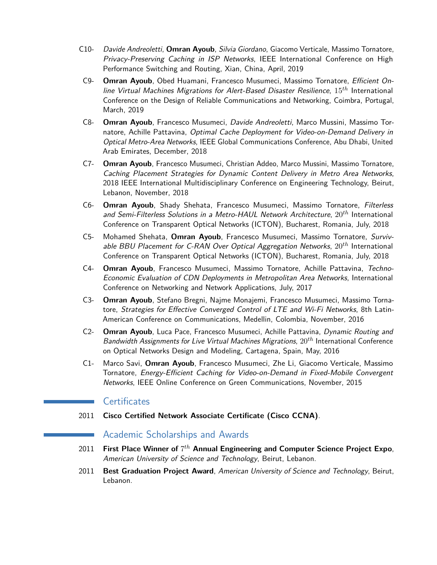- C10- Davide Andreoletti, **Omran Ayoub**, Silvia Giordano, Giacomo Verticale, Massimo Tornatore, Privacy-Preserving Caching in ISP Networks, IEEE International Conference on High Performance Switching and Routing, Xian, China, April, 2019
- C9- **Omran Ayoub**, Obed Huamani, Francesco Musumeci, Massimo Tornatore, Efficient Online Virtual Machines Migrations for Alert-Based Disaster Resilience, 15*th* International Conference on the Design of Reliable Communications and Networking, Coimbra, Portugal, March, 2019
- C8- **Omran Ayoub**, Francesco Musumeci, Davide Andreoletti, Marco Mussini, Massimo Tornatore, Achille Pattavina, Optimal Cache Deployment for Video-on-Demand Delivery in Optical Metro-Area Networks, IEEE Global Communications Conference, Abu Dhabi, United Arab Emirates, December, 2018
- C7- **Omran Ayoub**, Francesco Musumeci, Christian Addeo, Marco Mussini, Massimo Tornatore, Caching Placement Strategies for Dynamic Content Delivery in Metro Area Networks, 2018 IEEE International Multidisciplinary Conference on Engineering Technology, Beirut, Lebanon, November, 2018
- C6- **Omran Ayoub**, Shady Shehata, Francesco Musumeci, Massimo Tornatore, Filterless and Semi-Filterless Solutions in a Metro-HAUL Network Architecture, 20*th* International Conference on Transparent Optical Networks (ICTON), Bucharest, Romania, July, 2018
- C5- Mohamed Shehata, **Omran Ayoub**, Francesco Musumeci, Massimo Tornatore, Survivable BBU Placement for C-RAN Over Optical Aggregation Networks, 20*th* International Conference on Transparent Optical Networks (ICTON), Bucharest, Romania, July, 2018
- C4- **Omran Ayoub**, Francesco Musumeci, Massimo Tornatore, Achille Pattavina, Techno-Economic Evaluation of CDN Deployments in Metropolitan Area Networks, International Conference on Networking and Network Applications, July, 2017
- C3- **Omran Ayoub**, Stefano Bregni, Najme Monajemi, Francesco Musumeci, Massimo Tornatore, Strategies for Effective Converged Control of LTE and Wi-Fi Networks, 8th Latin-American Conference on Communications, Medellin, Colombia, November, 2016
- C2- **Omran Ayoub**, Luca Pace, Francesco Musumeci, Achille Pattavina, Dynamic Routing and Bandwidth Assignments for Live Virtual Machines Migrations, 20*th* International Conference on Optical Networks Design and Modeling, Cartagena, Spain, May, 2016
- C1- Marco Savi, **Omran Ayoub**, Francesco Musumeci, Zhe Li, Giacomo Verticale, Massimo Tornatore, Energy-Efficient Caching for Video-on-Demand in Fixed-Mobile Convergent Networks, IEEE Online Conference on Green Communications, November, 2015

## **Certificates**

2011 **Cisco Certified Network Associate Certificate (Cisco CCNA)**.

## Academic Scholarships and Awards

- 2011 **First Place Winner of** 7 *th* **Annual Engineering and Computer Science Project Expo**, American University of Science and Technology, Beirut, Lebanon.
- 2011 **Best Graduation Project Award**, American University of Science and Technology, Beirut, Lebanon.